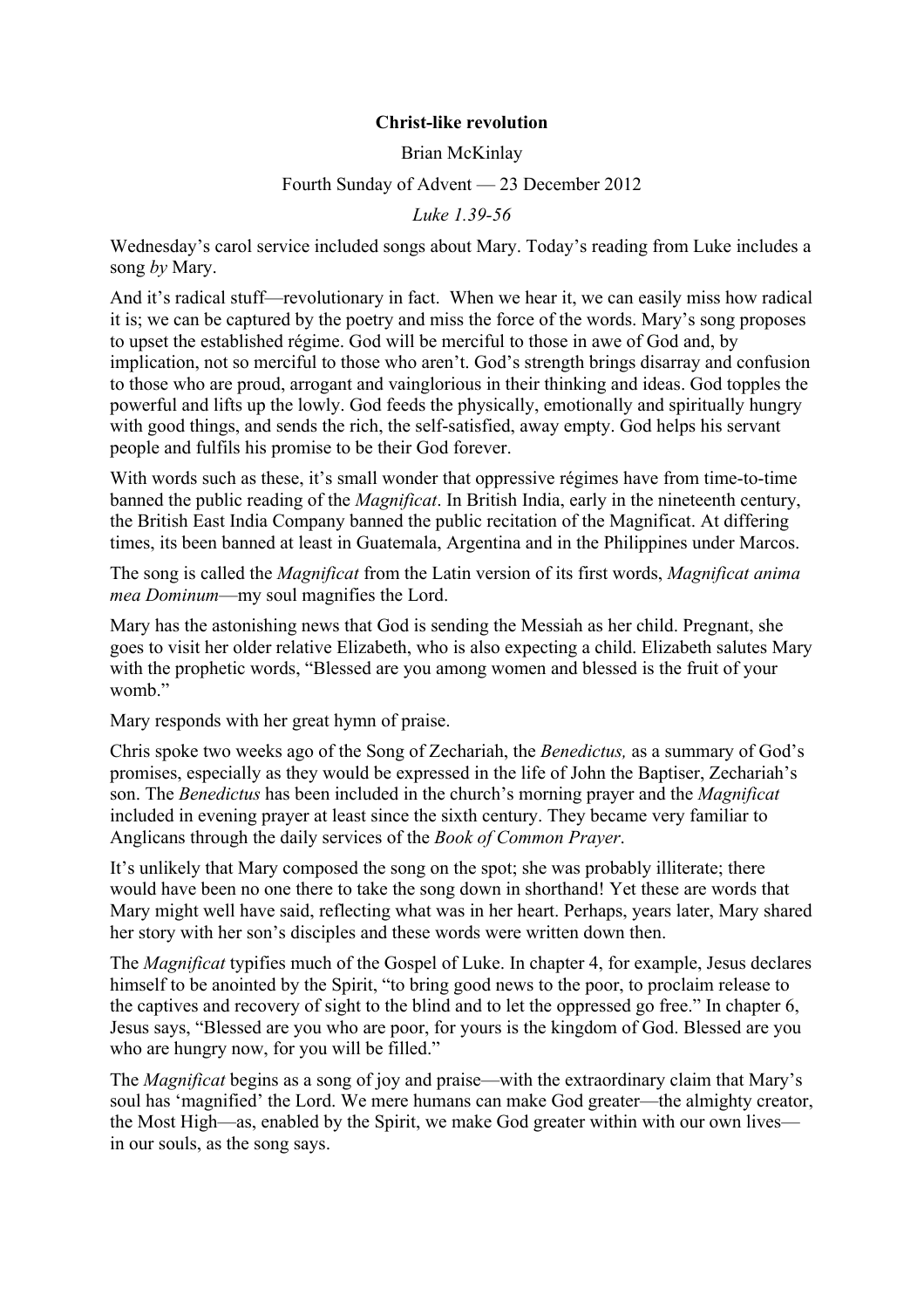## **Christ-like revolution**

Brian McKinlay

## Fourth Sunday of Advent — 23 December 2012

*Luke 1.39-56*

Wednesday's carol service included songs about Mary. Today's reading from Luke includes a song *by* Mary.

And it's radical stuff—revolutionary in fact. When we hear it, we can easily miss how radical it is; we can be captured by the poetry and miss the force of the words. Mary's song proposes to upset the established régime. God will be merciful to those in awe of God and, by implication, not so merciful to those who aren't. God's strength brings disarray and confusion to those who are proud, arrogant and vainglorious in their thinking and ideas. God topples the powerful and lifts up the lowly. God feeds the physically, emotionally and spiritually hungry with good things, and sends the rich, the self-satisfied, away empty. God helps his servant people and fulfils his promise to be their God forever.

With words such as these, it's small wonder that oppressive régimes have from time-to-time banned the public reading of the *Magnificat*. In British India, early in the nineteenth century, the British East India Company banned the public recitation of the Magnificat. At differing times, its been banned at least in Guatemala, Argentina and in the Philippines under Marcos.

The song is called the *Magnificat* from the Latin version of its first words, *Magnificat anima mea Dominum*—my soul magnifies the Lord.

Mary has the astonishing news that God is sending the Messiah as her child. Pregnant, she goes to visit her older relative Elizabeth, who is also expecting a child. Elizabeth salutes Mary with the prophetic words, "Blessed are you among women and blessed is the fruit of your womb."

Mary responds with her great hymn of praise.

Chris spoke two weeks ago of the Song of Zechariah, the *Benedictus,* as a summary of God's promises, especially as they would be expressed in the life of John the Baptiser, Zechariah's son. The *Benedictus* has been included in the church's morning prayer and the *Magnificat* included in evening prayer at least since the sixth century. They became very familiar to Anglicans through the daily services of the *Book of Common Prayer*.

It's unlikely that Mary composed the song on the spot; she was probably illiterate; there would have been no one there to take the song down in shorthand! Yet these are words that Mary might well have said, reflecting what was in her heart. Perhaps, years later, Mary shared her story with her son's disciples and these words were written down then.

The *Magnificat* typifies much of the Gospel of Luke. In chapter 4, for example, Jesus declares himself to be anointed by the Spirit, "to bring good news to the poor, to proclaim release to the captives and recovery of sight to the blind and to let the oppressed go free." In chapter 6, Jesus says, "Blessed are you who are poor, for yours is the kingdom of God. Blessed are you who are hungry now, for you will be filled."

The *Magnificat* begins as a song of joy and praise—with the extraordinary claim that Mary's soul has 'magnified' the Lord. We mere humans can make God greater—the almighty creator, the Most High—as, enabled by the Spirit, we make God greater within with our own lives in our souls, as the song says.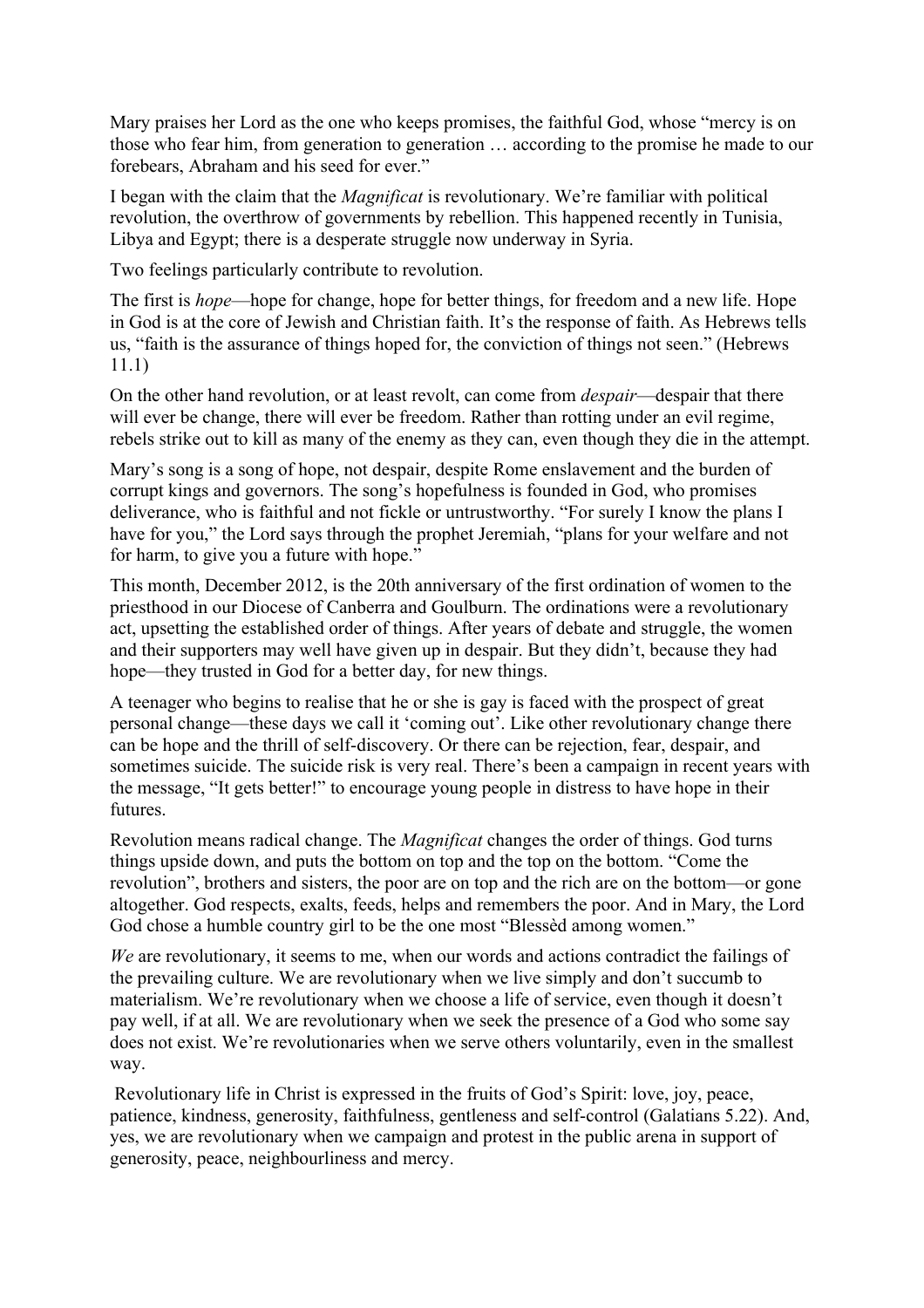Mary praises her Lord as the one who keeps promises, the faithful God, whose "mercy is on those who fear him, from generation to generation … according to the promise he made to our forebears, Abraham and his seed for ever."

I began with the claim that the *Magnificat* is revolutionary. We're familiar with political revolution, the overthrow of governments by rebellion. This happened recently in Tunisia, Libya and Egypt; there is a desperate struggle now underway in Syria.

Two feelings particularly contribute to revolution.

The first is *hope*—hope for change, hope for better things, for freedom and a new life. Hope in God is at the core of Jewish and Christian faith. It's the response of faith. As Hebrews tells us, "faith is the assurance of things hoped for, the conviction of things not seen." (Hebrews 11.1)

On the other hand revolution, or at least revolt, can come from *despair*—despair that there will ever be change, there will ever be freedom. Rather than rotting under an evil regime, rebels strike out to kill as many of the enemy as they can, even though they die in the attempt.

Mary's song is a song of hope, not despair, despite Rome enslavement and the burden of corrupt kings and governors. The song's hopefulness is founded in God, who promises deliverance, who is faithful and not fickle or untrustworthy. "For surely I know the plans I have for you," the Lord says through the prophet Jeremiah, "plans for your welfare and not for harm, to give you a future with hope."

This month, December 2012, is the 20th anniversary of the first ordination of women to the priesthood in our Diocese of Canberra and Goulburn. The ordinations were a revolutionary act, upsetting the established order of things. After years of debate and struggle, the women and their supporters may well have given up in despair. But they didn't, because they had hope—they trusted in God for a better day, for new things.

A teenager who begins to realise that he or she is gay is faced with the prospect of great personal change—these days we call it 'coming out'. Like other revolutionary change there can be hope and the thrill of self-discovery. Or there can be rejection, fear, despair, and sometimes suicide. The suicide risk is very real. There's been a campaign in recent years with the message, "It gets better!" to encourage young people in distress to have hope in their futures.

Revolution means radical change. The *Magnificat* changes the order of things. God turns things upside down, and puts the bottom on top and the top on the bottom. "Come the revolution", brothers and sisters, the poor are on top and the rich are on the bottom—or gone altogether. God respects, exalts, feeds, helps and remembers the poor. And in Mary, the Lord God chose a humble country girl to be the one most "Blessèd among women."

*We* are revolutionary, it seems to me, when our words and actions contradict the failings of the prevailing culture. We are revolutionary when we live simply and don't succumb to materialism. We're revolutionary when we choose a life of service, even though it doesn't pay well, if at all. We are revolutionary when we seek the presence of a God who some say does not exist. We're revolutionaries when we serve others voluntarily, even in the smallest way.

Revolutionary life in Christ is expressed in the fruits of God's Spirit: love, joy, peace, patience, kindness, generosity, faithfulness, gentleness and self-control (Galatians 5.22). And, yes, we are revolutionary when we campaign and protest in the public arena in support of generosity, peace, neighbourliness and mercy.